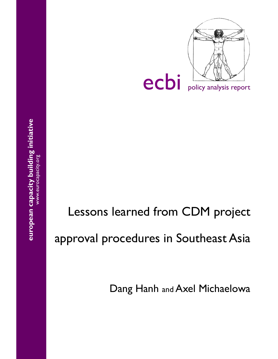

# Lessons learned from CDM project approval procedures in Southeast Asia

Dang Hanh and Axel Michaelowa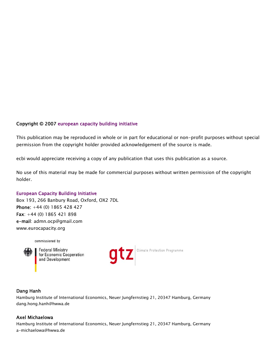# Copyright © 2007 european capacity building initiative

This publication may be reproduced in whole or in part for educational or non-profit purposes without special permission from the copyright holder provided acknowledgement of the source is made.

ecbi would appreciate receiving a copy of any publication that uses this publication as a source.

No use of this material may be made for commercial purposes without written permission of the copyright holder.

#### European Capacity Building Initiative

Box 193, 266 Banbury Road, Oxford, OX2 7DL Phone: +44 (0) 1865 428 427 Fax: +44 (0) 1865 421 898 e-mail: admn.ocp@gmail.com www.eurocapacity.org

commissioned by



**Federal Ministry** for Economic Cooperation and Development



Climate Protection Programme

#### Dang Hanh

Hamburg Institute of International Economics, Neuer Jungfernstieg 21, 20347 Hamburg, Germany dang.hong.hanh@hwwa.de

#### Axel Michaelowa

Hamburg Institute of International Economics, Neuer Jungfernstieg 21, 20347 Hamburg, Germany a-michaelowa@hwwa.de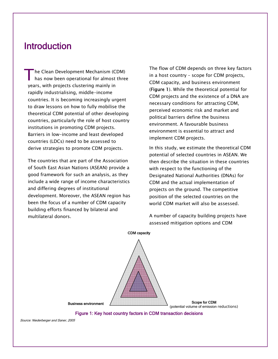# Introduction

The Clean Development Mechanism (CDM)<br>has now been operational for almost three years, with projects clustering mainly in rapidly industrialising, middle-income countries. It is becoming increasingly urgent to draw lessons on how to fully mobilise the theoretical CDM potential of other developing countries, particularly the role of host country institutions in promoting CDM projects. Barriers in low-income and least developed countries (LDCs) need to be assessed to derive strategies to promote CDM projects.

 The countries that are part of the Association of South East Asian Nations (ASEAN) provide a good framework for such an analysis, as they include a wide range of income characteristics and differing degrees of institutional development. Moreover, the ASEAN region has been the focus of a number of CDM capacity building efforts financed by bilateral and multilateral donors.

 The flow of CDM depends on three key factors in a host country – scope for CDM projects, CDM capacity, and business environment (Figure 1). While the theoretical potential for CDM projects and the existence of a DNA are necessary conditions for attracting CDM, perceived economic risk and market and political barriers define the business environment. A favourable business environment is essential to attract and implement CDM projects.

 In this study, we estimate the theoretical CDM potential of selected countries in ASEAN. We then describe the situation in these countries with respect to the functioning of the Designated National Authorities (DNAs) for CDM and the actual implementation of projects on the ground. The competitive position of the selected countries on the world CDM market will also be assessed.

 A number of capacity building projects have assessed mitigation options and CDM



Figure 1: Key host country factors in CDM transaction decisions

Source: Niederberger and Saner, 2005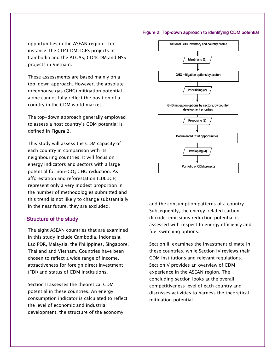#### Figure 2: Top-down approach to identifying CDM potential

opportunities in the ASEAN region – for instance, the CD4CDM, IGES projects in Cambodia and the ALGAS, CD4CDM and NSS projects in Vietnam.

 These assessments are based mainly on a top-down approach. However, the absolute greenhouse gas (GHG) mitigation potential alone cannot fully reflect the position of a country in the CDM world market.

 The top-down approach generally employed to assess a host country's CDM potential is defined in Figure 2.

 This study will assess the CDM capacity of each country in comparison with its neighbouring countries. It will focus on energy indicators and sectors with a large potential for non- $CO<sub>2</sub>$  GHG reduction. As afforestation and reforestation (LULUCF) represent only a very modest proportion in the number of methodologies submitted and this trend is not likely to change substantially in the near future, they are excluded.

#### Structure of the study

 The eight ASEAN countries that are examined in this study include Cambodia, Indonesia, Lao PDR, Malaysia, the Philippines, Singapore, Thailand and Vietnam. Countries have been chosen to reflect a wide range of income, attractiveness for foreign direct investment (FDI) and status of CDM institutions.

 Section II assesses the theoretical CDM potential in these countries. An energy consumption indicator is calculated to reflect the level of economic and industrial development, the structure of the economy



and the consumption patterns of a country. Subsequently, the energy-related carbon dioxide emissions reduction potential is assessed with respect to energy efficiency and fuel switching options.

 Section III examines the investment climate in these countries, while Section IV reviews their CDM institutions and relevant regulations. Section V provides an overview of CDM experience in the ASEAN region. The concluding section looks at the overall competitiveness level of each country and discusses activities to harness the theoretical mitigation potential.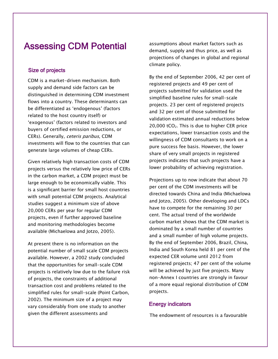# Assessing CDM Potential

# Size of projects

 CDM is a market-driven mechanism. Both supply and demand side factors can be distinguished in determining CDM investment flows into a country. These determinants can be differentiated as 'endogenous' (factors related to the host country itself) or 'exogenous' (factors related to investors and buyers of certified emission reductions, or CERs). Generally, ceteris paribus, CDM investments will flow to the countries that can generate large volumes of cheap CERs.

 Given relatively high transaction costs of CDM projects versus the relatively low price of CERs in the carbon market, a CDM project must be large enough to be economically viable. This is a significant barrier for small host countries with small potential CDM projects. Analytical studies suggest a minimum size of above 20,000 CERs per year for regular CDM projects, even if further approved baseline and monitoring methodologies become available (Michaelowa and Jotzo, 2005).

 At present there is no information on the potential number of small scale CDM projects available. However, a 2002 study concluded that the opportunities for small-scale CDM projects is relatively low due to the failure risk of projects, the constraints of additional transaction cost and problems related to the simplified rules for small-scale (Point Carbon, 2002). The minimum size of a project may vary considerably from one study to another given the different assessments and

assumptions about market factors such as demand, supply and thus price, as well as projections of changes in global and regional climate policy.

 By the end of September 2006, 42 per cent of registered projects and 49 per cent of projects submitted for validation used the simplified baseline rules for small-scale projects. 23 per cent of registered projects and 32 per cent of those submitted for validation estimated annual reductions below 20,000 tCO<sub>2</sub>. This is due to higher CER price expectations, lower transaction costs and the willingness of CDM consultants to work on a pure success fee basis. However, the lower share of very small projects in registered projects indicates that such projects have a lower probability of achieving registration.

 Projections up to now indicate that about 70 per cent of the CDM investments will be directed towards China and India (Michaelowa and Jotzo, 2005). Other developing and LDCs have to compete for the remaining 30 per cent. The actual trend of the worldwide carbon market shows that the CDM market is dominated by a small number of countries and a small number of high volume projects. By the end of September 2006, Brazil, China, India and South Korea held 81 per cent of the expected CER volume until 2012 from registered projects; 47 per cent of the volume will be achieved by just five projects. Many non-Annex I countries are strongly in favour of a more equal regional distribution of CDM projects.

### Energy indicators

The endowment of resources is a favourable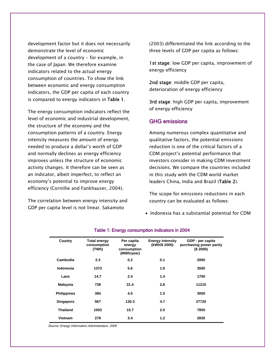development factor but it does not necessarily demonstrate the level of economic development of a country - for example, in the case of Japan. We therefore examine indicators related to the actual energy consumption of countries. To show the link between economic and energy consumption indicators, the GDP per capita of each country is compared to energy indicators in Table 1.

 The energy consumption indicators reflect the level of economic and industrial development, the structure of the economy and the consumption patterns of a country. Energy intensity measures the amount of energy needed to produce a dollar's worth of GDP and normally declines as energy efficiency improves unless the structure of economic activity changes. It therefore can be seen as an indicator, albeit imperfect, to reflect an economy's potential to improve energy efficiency (Cornillie and Fankhauser, 2004).

 The correlation between energy intensity and GDP per capita level is not linear. Sakamoto

(2003) differentiated the link according to the three levels of GDP per capita as follows:

1st stage: low GDP per capita, improvement of energy efficiency

2nd stage: middle GDP per capita, deterioration of energy efficiency

3rd stage: high GDP per capita, improvement of energy efficiency

### GHG emissions

 Among numerous complex quantitative and qualitative factors, the potential emissions reduction is one of the critical factors of a CDM project's potential performance that investors consider in making CDM investment decisions. We compare the countries included in this study with the CDM world market leaders China, India and Brazil (Table 2).

 The scope for emissions reductions in each country can be evaluated as follows:

• Indonesia has a substantial potential for CDM

| Country            | <b>Total energy</b><br>consumption<br>(TWh) | Per capita<br>energy<br>consumption<br>(MWh/year) | <b>Energy intensity</b><br>(kWh/\$ 2000) | GDP - per capita<br>purchasing power parity<br>(\$2000) |
|--------------------|---------------------------------------------|---------------------------------------------------|------------------------------------------|---------------------------------------------------------|
| Cambodia           | 2.3                                         | 0.2                                               | 0.1                                      | 2000                                                    |
| Indonesia          | 1373                                        | 5.6                                               | 1.6                                      | 3500                                                    |
| Laos               | 14.7                                        | 2.4                                               | 1.4                                      | 1700                                                    |
| <b>Malaysia</b>    | 738                                         | 31.4                                              | 2.8                                      | 11210                                                   |
| <b>Philippines</b> | 384                                         | 4.5                                               | 1.5                                      | 3000                                                    |
| Singapore          | 567                                         | 130.3                                             | 4.7                                      | 27720                                                   |
| <b>Thailand</b>    | 1003                                        | 15.7                                              | 2.0                                      | 7850                                                    |
| Vietnam            | 278                                         | 3.4                                               | 1.2                                      | 2830                                                    |

#### Table 1: Energy consumption indicators in 2004

Source: Energy Information Administration, 2006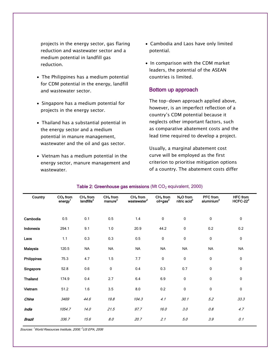projects in the energy sector, gas flaring reduction and wastewater sector and a medium potential in landfill gas reduction.

- The Philippines has a medium potential for CDM potential in the energy, landfill and wastewater sector.
- Singapore has a medium potential for projects in the energy sector.
- Thailand has a substantial potential in the energy sector and a medium potential in manure management, wastewater and the oil and gas sector.
- Vietnam has a medium potential in the energy sector, manure management and wastewater.
- Cambodia and Laos have only limited potential.
- In comparison with the CDM market leaders, the potential of the ASEAN countries is limited.

### Bottom up approach

 The top-down approach applied above, however, is an imperfect reflection of a country's CDM potential because it neglects other important factors, such as comparative abatement costs and the lead time required to develop a project.

 Usually, a marginal abatement cost curve will be employed as the first criterion to prioritise mitigation options of a country. The abatement costs differ

| Country            | $CO2$ from<br>energy <sup>1</sup> | $CH4$ from<br>landfills <sup>2</sup> | $CH4$ from<br>manure <sup>2</sup> | $CH4$ from<br>wastewater <sup>2</sup> | $CH4$ from<br>$o$ il+gas $^2$ | $N2O$ from<br>nitric acid <sup>2</sup> | <b>PFC</b> from<br>aluminium <sup>2</sup> | <b>HFC</b> from<br>$HCFC-222$ |
|--------------------|-----------------------------------|--------------------------------------|-----------------------------------|---------------------------------------|-------------------------------|----------------------------------------|-------------------------------------------|-------------------------------|
|                    |                                   |                                      |                                   |                                       |                               |                                        |                                           |                               |
| Cambodia           | 0.5                               | 0.1                                  | 0.5                               | 1.4                                   | $\mathbf 0$                   | $\mathbf 0$                            | $\mathbf 0$                               | $\mathbf 0$                   |
| Indonesia          | 294.1                             | 9.1                                  | 1.0                               | 20.9                                  | 44.2                          | $\pmb{0}$                              | 0.2                                       | 0.2                           |
| Laos               | 1.1                               | 0.3                                  | 0.3                               | $0.5\,$                               | 0                             | $\pmb{0}$                              | $\pmb{0}$                                 | $\mathbf 0$                   |
| Malaysia           | 120.5                             | <b>NA</b>                            | <b>NA</b>                         | <b>NA</b>                             | <b>NA</b>                     | <b>NA</b>                              | <b>NA</b>                                 | <b>NA</b>                     |
| <b>Philippines</b> | 75.3                              | 4.7                                  | 1.5                               | 7.7                                   | $\bf{0}$                      | 0                                      | $\pmb{0}$                                 | 0                             |
| Singapore          | 52.8                              | 0.6                                  | 0                                 | 0.4                                   | 0.3                           | 0.7                                    | 0                                         | 0                             |
| <b>Thailand</b>    | 174.9                             | 0.4                                  | 2.7                               | 6.4                                   | 6.9                           | $\mathbf 0$                            | $\pmb{0}$                                 | 0                             |
| Vietnam            | 51.2                              | 1.6                                  | 3.5                               | 8.0                                   | 0.2                           | $\mathbf 0$                            | $\pmb{0}$                                 | 0                             |
| China              | 3469                              | 44.6                                 | 19.8                              | 104.3                                 | 4.1                           | 30.1                                   | 5.2                                       | 33.3                          |
| India              | 1054.7                            | 14.0                                 | 21.5                              | 97.7                                  | 16.0                          | 3.0                                    | 0.8                                       | 4.7                           |
| Brazil             | 336.7                             | 15.6                                 | 8.0                               | 20.7                                  | 2.1                           | 5.0                                    | 3.9                                       | 0.1                           |

#### Table 2: Greenhouse gas emissions (Mt  $CO<sub>2</sub>$  equivalent, 2000)

Sources: <sup>1</sup>World Resources Institute, 2006; <sup>2</sup> US EPA, 2006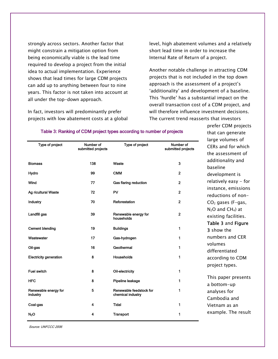strongly across sectors. Another factor that might constrain a mitigation option from being economically viable is the lead time required to develop a project from the initial idea to actual implementation. Experience shows that lead times for large CDM projects can add up to anything between four to nine years. This factor is not taken into account at all under the top-down approach.

 In fact, investors will predominantly prefer projects with low abatement costs at a global level, high abatement volumes and a relatively short lead time in order to increase the Internal Rate of Return of a project.

 Another notable challenge in attracting CDM projects that is not included in the top down approach is the assessment of a project's 'additionality' and development of a baseline. This 'hurdle' has a substantial impact on the overall transaction cost of a CDM project, and will therefore influence investment decisions. The current trend reasserts that investors

> prefer CDM projects that can generate

|                                  |                                 |                                              |                                 | large volumes of                               |
|----------------------------------|---------------------------------|----------------------------------------------|---------------------------------|------------------------------------------------|
| Type of project                  | Number of<br>submitted projects | Type of project                              | Number of<br>submitted projects | CERs and for which                             |
|                                  |                                 |                                              |                                 | the assessment of                              |
| <b>Biomass</b>                   | 138                             | Waste                                        | $\overline{\mathbf{3}}$         | additionality and<br>baseline                  |
| Hydro                            | 99                              | <b>CMM</b>                                   | $\overline{2}$                  | development is                                 |
| Wind                             | 77                              | Gas flaring reduction                        | $\overline{2}$                  | relatively easy - for                          |
| Ag ricultural Waste              | 72                              | PV                                           | $\overline{2}$                  | instance, emissions<br>reductions of non-      |
| Industry                         | 70                              | Reforestation                                | $\mathbf{2}$                    | $CO2$ gases (F-gas,                            |
| Landfill gas                     | 39                              | Renewable energy for<br>households           | $\overline{2}$                  | $N_2O$ and $CH_4$ ) at<br>existing facilities. |
| <b>Cement blending</b>           | 19                              | <b>Buildings</b>                             | 1                               | Table 3 and Figure<br>3 show the               |
| Wastewater                       | 17                              | Gas-hydrogen                                 | 1                               | numbers and CER                                |
| Oil-gas                          | 16                              | Geothermal                                   | 1                               | volumes<br>differentiated                      |
| <b>Electricity generation</b>    | 8                               | Households                                   | $\mathbf{1}$                    | according to CDM                               |
| <b>Fuel switch</b>               | 8                               | Oil-electricity                              | 1                               | project types.                                 |
| <b>HFC</b>                       | 8                               | Pipeline leakage                             | 1                               | This paper presents<br>a bottom-up             |
| Renewable energy for<br>industry | 5                               | Renewable feedstock for<br>chemical industry | 1                               | analyses for<br>Cambodia and                   |
| Coal-gas                         | 4                               | <b>Tidal</b>                                 | 1                               | Vietnam as an                                  |
| N <sub>2</sub> O                 | 4                               | <b>Transport</b>                             | 1                               | example. The result                            |

#### Table 3: Ranking of CDM project types according to number of projects

Source: UNFCCC 2006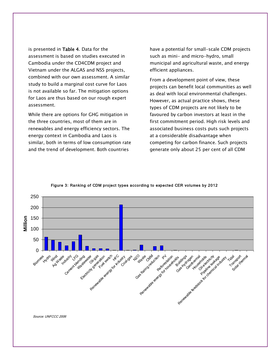is presented in Table 4. Data for the assessment is based on studies executed in Cambodia under the CD4CDM project and Vietnam under the ALGAS and NSS projects, combined with our own assessment. A similar study to build a marginal cost curve for Laos is not available so far. The mitigation options for Laos are thus based on our rough expert assessment.

 While there are options for GHG mitigation in the three countries, most of them are in renewables and energy efficiency sectors. The energy context in Cambodia and Laos is similar, both in terms of low consumption rate and the trend of development. Both countries

have a potential for small-scale CDM projects such as mini- and micro-hydro, small municipal and agricultural waste, and energy efficient appliances.

 From a development point of view, these projects can benefit local communities as well as deal with local environmental challenges. However, as actual practice shows, these types of CDM projects are not likely to be favoured by carbon investors at least in the first commitment period. High risk levels and associated business costs puts such projects at a considerable disadvantage when competing for carbon finance. Such projects generate only about 25 per cent of all CDM



Figure 3: Ranking of CDM project types according to expected CER volumes by 2012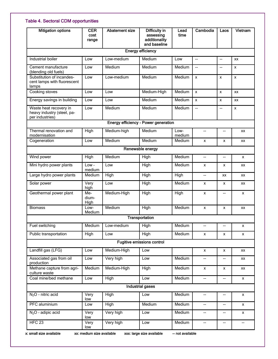# Table 4. Sectoral CDM opportunities

| <b>Mitigation options</b>                                               | <b>CER</b><br>cost<br>range | <b>Abatement size</b> | Difficulty in<br>assessing<br>additionality<br>and baseline | Lead<br>time   | Cambodia                            | Laos                          | Vietnam   |
|-------------------------------------------------------------------------|-----------------------------|-----------------------|-------------------------------------------------------------|----------------|-------------------------------------|-------------------------------|-----------|
|                                                                         |                             |                       | <b>Energy efficiency</b>                                    |                |                                     |                               |           |
| Industrial boiler                                                       | Low                         | Low-medium            | Medium                                                      | Low            | $\overline{a}$                      | $\overline{\phantom{a}}$      | <b>XX</b> |
| Cement manufacture<br>(blending old fuels)                              | Low                         | Medium                | Medium                                                      | Medium         | $\overline{a}$                      | $\overline{a}$                | x         |
| Substitution of incandes-<br>cent lamps with fluorescent<br>lamps       | Low                         | Low-medium            | Medium                                                      | Medium         | X                                   | X                             | x         |
| Cooking stoves                                                          | Low                         | Low                   | Medium-High                                                 | Medium         | $\boldsymbol{\mathsf{x}}$           | X                             | <b>XX</b> |
| Energy savings in building                                              | Low                         | Low                   | Medium                                                      | Medium         | X                                   | X                             | <b>XX</b> |
| Waste heat recovery in<br>heavy industry (steel, pa-<br>per industries) | Low                         | Medium                | Medium                                                      | Medium         | $\overline{\phantom{a}}$            | $\overline{\phantom{a}}$      | X         |
|                                                                         |                             |                       | Energy efficiency - Power generation                        |                |                                     |                               |           |
| Thermal renovation and<br>modernisation                                 | High                        | Medium-high           | Medium                                                      | Low-<br>medium | $\overline{\phantom{a}}$            | --                            | XX        |
| Cogeneration                                                            | Low                         | Medium                | Medium                                                      | Medium         | X                                   | x                             | <b>XX</b> |
|                                                                         |                             |                       | Renewable energy                                            |                |                                     |                               |           |
| Wind power                                                              | High                        | Medium                | High                                                        | Medium         | $\overline{\phantom{a}}$            | $-$                           | X         |
| Mini hydro power plants                                                 | Low-<br>medium              | Low                   | High                                                        | Medium         | $\boldsymbol{\mathsf{x}}$           | x                             | <b>XX</b> |
| Large hydro power plants                                                | Medium                      | High                  | High                                                        | High           | $\overline{\phantom{a}}$            | XX                            | XX        |
| Solar power                                                             | Very<br>high                | Low                   | High                                                        | Medium         | x                                   | x                             | XX        |
| Geothermal power plant                                                  | Me-<br>dium-<br>High        | Medium-High           | High                                                        | High           | X                                   | $\overline{\phantom{a}}$      | X         |
| <b>Biomass</b>                                                          | Low-<br>Medium              | Medium                | High                                                        | Medium         | X                                   | x                             | XX        |
|                                                                         |                             |                       | Transportation                                              |                |                                     |                               |           |
| Fuel switching                                                          | Medium                      | .ow-medium            | <b>High</b>                                                 | Medium         | $\qquad \qquad \qquad \qquad$       | --                            | x         |
| Public transportation                                                   | High                        | Low                   | High                                                        | Medium         | X                                   | x                             | x         |
|                                                                         |                             |                       | Fugitive emissions control                                  |                |                                     |                               |           |
| Landfill gas (LFG)                                                      | Low                         | Medium-High           | Low                                                         |                | X                                   | x                             | XX        |
| Associated gas from oil<br>production                                   | Low                         | Very high             | Low                                                         | Medium         | $\qquad \qquad \qquad \qquad$       | --                            | XX        |
| Methane capture from agri-<br>culture waste                             | Medium                      | Medium-High           | High                                                        | Medium         | X                                   | X                             | XX        |
| Coal mine/bed methane                                                   | Low                         | High                  | Low                                                         | Medium         | $\hspace{0.05cm}$ $\hspace{0.05cm}$ | $\qquad \qquad \qquad \qquad$ | x         |
|                                                                         |                             |                       | <b>Industrial gases</b>                                     |                |                                     |                               |           |
| $N_2O$ - nitric acid                                                    | Very<br>low                 | High                  | Low                                                         | Medium         | $\qquad \qquad \qquad \qquad$       | --                            | x         |
| PFC aluminium                                                           | Low                         | High                  | Medium                                                      | Medium         | $\qquad \qquad -$                   | --                            | x         |
| $N2O$ - adipic acid                                                     | Very<br>low                 | Very high             | Low                                                         | Medium         | $\qquad \qquad -$                   | $\overline{\phantom{a}}$      | x         |
| HFC <sub>23</sub>                                                       | Very<br>low                 | Very high             | Low                                                         | Medium         | $\overline{\phantom{a}}$            | --                            |           |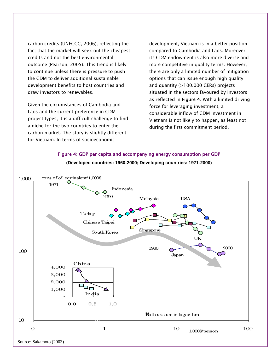carbon credits (UNFCCC, 2006), reflecting the fact that the market will seek out the cheapest credits and not the best environmental outcome (Pearson, 2005). This trend is likely to continue unless there is pressure to push the CDM to deliver additional sustainable development benefits to host countries and draw investors to renewables.

 Given the circumstances of Cambodia and Laos and the current preference in CDM project types, it is a difficult challenge to find a niche for the two countries to enter the carbon market. The story is slightly different for Vietnam. In terms of socioeconomic

development, Vietnam is in a better position compared to Cambodia and Laos. Moreover, its CDM endowment is also more diverse and more competitive in quality terms. However, there are only a limited number of mitigation options that can issue enough high quality and quantity  $(>100.000$  CERs) projects situated in the sectors favoured by investors as reflected in Figure 4. With a limited driving force for leveraging investment, a considerable inflow of CDM investment in Vietnam is not likely to happen, as least not during the first commitment period.



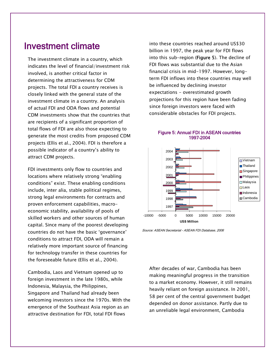# Investment climate

 The investment climate in a country, which indicates the level of financial/investment risk involved, is another critical factor in determining the attractiveness for CDM projects. The total FDI a country receives is closely linked with the general state of the investment climate in a country. An analysis of actual FDI and ODA flows and potential CDM investments show that the countries that are recipients of a significant proportion of total flows of FDI are also those expecting to generate the most credits from proposed CDM projects (Ellis et al., 2004). FDI is therefore a possible indicator of a country's ability to attract CDM projects.

 FDI investments only flow to countries and locations where relatively strong "enabling conditions" exist. These enabling conditions include, inter alia, stable political regimes, strong legal environments for contracts and proven enforcement capabilities, macroeconomic stability, availability of pools of skilled workers and other sources of human capital. Since many of the poorest developing countries do not have the basic 'governance' conditions to attract FDI, ODA will remain a relatively more important source of financing for technology transfer in these countries for the foreseeable future (Ellis et al., 2004).

 Cambodia, Laos and Vietnam opened up to foreign investment in the late 1980s, while Indonesia, Malaysia, the Philippines, Singapore and Thailand had already been welcoming investors since the 1970s. With the emergence of the Southeast Asia region as an attractive destination for FDI, total FDI flows

into these countries reached around US\$30 billion in 1997, the peak year for FDI flows into this sub-region (Figure 5). The decline of FDI flows was substantial due to the Asian financial crisis in mid-1997. However, longterm FDI inflows into these countries may well be influenced by declining investor expectations - overestimated growth projections for this region have been fading since foreign investors were faced with considerable obstacles for FDI projects.



#### Figure 5: Annual FDI in ASEAN countries 1997–2004

Source: ASEAN Secretariat - ASEAN FDI Database, 2006

 After decades of war, Cambodia has been making meaningful progress in the transition to a market economy. However, it still remains heavily reliant on foreign assistance. In 2001, 58 per cent of the central government budget depended on donor assistance. Partly due to an unreliable legal environment, Cambodia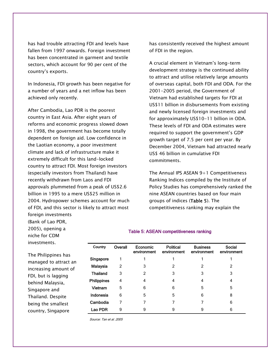has had trouble attracting FDI and levels have fallen from 1997 onwards. Foreign investment has been concentrated in garment and textile sectors, which account for 90 per cent of the country's exports.

 In Indonesia, FDI growth has been negative for a number of years and a net inflow has been achieved only recently.

 After Cambodia, Lao PDR is the poorest country in East Asia. After eight years of reforms and economic progress slowed down in 1998, the government has become totally dependent on foreign aid. Low confidence in the Laotian economy, a poor investment climate and lack of infrastructure make it extremely difficult for this land-locked country to attract FDI. Most foreign investors (especially investors from Thailand) have recently withdrawn from Laos and FDI approvals plummeted from a peak of US\$2.6 billion in 1995 to a mere US\$25 million in 2004. Hydropower schemes account for much of FDI, and this sector is likely to attract most foreign investments

has consistently received the highest amount of FDI in the region.

 A crucial element in Vietnam's long-term development strategy is the continued ability to attract and utilise relatively large amounts of overseas capital, both FDI and ODA. For the 2001-2005 period, the Government of Vietnam had established targets for FDI at US\$11 billion in disbursements from existing and newly licensed foreign investments and for approximately US\$10-11 billion in ODA. These levels of FDI and ODA estimates were required to support the government's GDP growth target of 7.5 per cent per year. By December 2004, Vietnam had attracted nearly US\$ 46 billion in cumulative FDI commitments.

The Annual IPS ASEAN  $9+1$  Competitiveness Ranking Indices compiled by the Institute of Policy Studies has comprehensively ranked the nine ASEAN countries based on four main groups of indices (Table 5). The competitiveness ranking may explain the

(Bank of Lao PDR, 2005), opening a niche for CDM investments.

 The Philippines has managed to attract an increasing amount of FDI, but is lagging behind Malaysia, Singapore and Thailand. Despite being the smallest country, Singapore

| Country            | Overall       | Economic<br>environment | <b>Political</b><br>environment | <b>Business</b><br>environment | Social<br>environment |
|--------------------|---------------|-------------------------|---------------------------------|--------------------------------|-----------------------|
| Singapore          |               |                         |                                 |                                |                       |
| Malaysia           | $\mathcal{P}$ | 3                       | 2                               | 2                              | 2                     |
| <b>Thailand</b>    | 3             | 2                       | 3                               | 3                              | 3                     |
| <b>Philippines</b> | 4             | 4                       | 4                               | 4                              | 4                     |
| Vietnam            | 5             | 6                       | 6                               | 5                              | 5                     |
| Indonesia          | 6             | 5                       | 5                               | 6                              | 8                     |
| Cambodia           |               |                         | 7                               |                                | 6                     |
| Lao PDR            | 9             | 9                       | 9                               | 9                              | 6                     |

Table 5: ASEAN competitiveness ranking

Source: Tan et al. 2005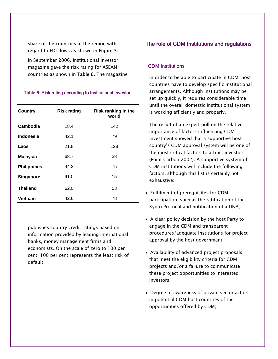share of the countries in the region with regard to FDI flows as shown in Figure 5.

 In September 2006, Institutional Investor magazine gave the risk rating for ASEAN countries as shown in Table 6. The magazine

#### Table 6: Risk rating according to Institutional Investor

| <b>Country</b>     | <b>Risk rating</b> | Risk ranking in the<br>world |
|--------------------|--------------------|------------------------------|
| Cambodia           | 18.4               | 142                          |
| <b>Indonesia</b>   | 42.1               | 79                           |
| Laos               | 21.8               | 128                          |
| <b>Malaysia</b>    | 68.7               | 38                           |
| <b>Philippines</b> | 44.2               | 75                           |
| Singapore          | 91.0               | 15                           |
| <b>Thailand</b>    | 62.0               | 53                           |
| Vietnam            | 42.6               | 78                           |

publishes country credit ratings based on information provided by leading international banks, money management firms and economists. On the scale of zero to 100 per cent, 100 per cent represents the least risk of default.

# The role of CDM Institutions and regulations

#### CDM Institutions

 In order to be able to participate in CDM, host countries have to develop specific institutional arrangements. Although institutions may be set up quickly, it requires considerable time until the overall domestic institutional system is working efficiently and properly.

 The result of an expert poll on the relative importance of factors influencing CDM investment showed that a supportive host country's CDM approval system will be one of the most critical factors to attract investors (Point Carbon 2002). A supportive system of CDM institutions will include the following factors, although this list is certainly not exhaustive:

- Fulfilment of prerequisites for CDM participation, such as the ratification of the Kyoto Protocol and notification of a DNA;
- A clear policy decision by the host Party to engage in the CDM and transparent procedures/adequate institutions for project approval by the host government;
- Availability of advanced project proposals that meet the eligibility criteria for CDM projects and/or a failure to communicate these project opportunities to interested investors;
- Degree of awareness of private sector actors in potential CDM host countries of the opportunities offered by CDM;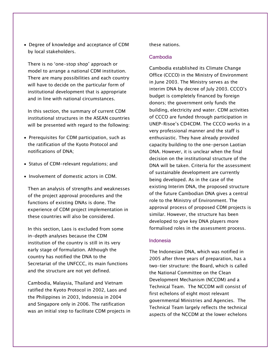• Degree of knowledge and acceptance of CDM by local stakeholders.

 There is no 'one-stop shop' approach or model to arrange a national CDM institution. There are many possibilities and each country will have to decide on the particular form of institutional development that is appropriate and in line with national circumstances.

 In this section, the summary of current CDM institutional structures in the ASEAN countries will be presented with regard to the following:

- Prerequisites for CDM participation, such as the ratification of the Kyoto Protocol and notifications of DNA;
- Status of CDM-relevant regulations; and
- Involvement of domestic actors in CDM.

 Then an analysis of strengths and weaknesses of the project approval procedures and the functions of existing DNAs is done. The experience of CDM project implementation in these countries will also be considered.

 In this section, Laos is excluded from some in-depth analyses because the CDM institution of the country is still in its very early stage of formulation. Although the country has notified the DNA to the Secretariat of the UNFCCC, its main functions and the structure are not yet defined.

 Cambodia, Malaysia, Thailand and Vietnam ratified the Kyoto Protocol in 2002, Laos and the Philippines in 2003, Indonesia in 2004 and Singapore only in 2006. The ratification was an initial step to facilitate CDM projects in

#### these nations.

#### Cambodia

 Cambodia established its Climate Change Office (CCCO) in the Ministry of Environment in June 2003. The Ministry serves as the interim DNA by decree of July 2003. CCCO's budget is completely financed by foreign donors; the government only funds the building, electricity and water. CDM activities of CCCO are funded through participation in UNEP-Risoe's CD4CDM. The CCCO works in a very professional manner and the staff is enthusiastic. They have already provided capacity building to the one-person Laotian DNA. However, it is unclear when the final decision on the institutional structure of the DNA will be taken. Criteria for the assessment of sustainable development are currently being developed. As in the case of the existing Interim DNA, the proposed structure of the future Cambodian DNA gives a central role to the Ministry of Environment. The approval process of proposed CDM projects is similar. However, the structure has been developed to give key DNA players more formalised roles in the assessment process.

#### Indonesia

 The Indonesian DNA, which was notified in 2005 after three years of preparation, has a two-tier structure: the Board, which is called the National Committee on the Clean Development Mechanism (NCCDM) and a Technical Team. The NCCDM will consist of first echelons of eight most relevant governmental Ministries and Agencies. The Technical Team largely reflects the technical aspects of the NCCDM at the lower echelons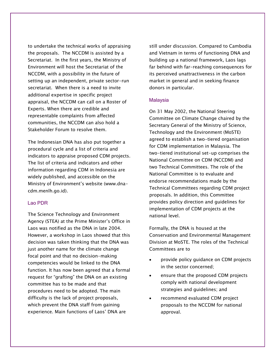to undertake the technical works of appraising the proposals. The NCCDM is assisted by a Secretariat. In the first years, the Ministry of Environment will host the Secretariat of the NCCDM, with a possibility in the future of setting up an independent, private sector-run secretariat. When there is a need to invite additional expertise in specific project appraisal, the NCCDM can call on a Roster of Experts. When there are credible and representable complaints from affected communities, the NCCDM can also hold a Stakeholder Forum to resolve them.

 The Indonesian DNA has also put together a procedural cycle and a list of criteria and indicators to appraise proposed CDM projects. The list of criteria and indicators and other information regarding CDM in Indonesia are widely published, and accessible on the Ministry of Environment's website (www.dnacdm.menlh.go.id).

#### Lao PDR

 The Science Technology and Environment Agency (STEA) at the Prime Minister's Office in Laos was notified as the DNA in late 2004. However, a workshop in Laos showed that this decision was taken thinking that the DNA was just another name for the climate change focal point and that no decision-making competencies would be linked to the DNA function. It has now been agreed that a formal request for "grafting" the DNA on an existing committee has to be made and that procedures need to be adopted. The main difficulty is the lack of project proposals, which prevent the DNA staff from gaining experience. Main functions of Laos' DNA are

still under discussion. Compared to Cambodia and Vietnam in terms of functioning DNA and building up a national framework, Laos lags far behind with far-reaching consequences for its perceived unattractiveness in the carbon market in general and in seeking finance donors in particular.

#### Malaysia

 On 31 May 2002, the National Steering Committee on Climate Change chaired by the Secretary General of the Ministry of Science, Technology and the Environment (MoSTE) agreed to establish a two-tiered organisation for CDM implementation in Malaysia. The two-tiered institutional set-up comprises the National Committee on CDM (NCCDM) and two Technical Committees. The role of the National Committee is to evaluate and endorse recommendations made by the Technical Committees regarding CDM project proposals. In addition, this Committee provides policy direction and guidelines for implementation of CDM projects at the national level.

 Formally, the DNA is housed at the Conservation and Environmental Management Division at MoSTE. The roles of the Technical Committees are to

- provide policy guidance on CDM projects in the sector concerned;
- ensure that the proposed CDM projects comply with national development strategies and guidelines; and
- recommend evaluated CDM project proposals to the NCCDM for national approval.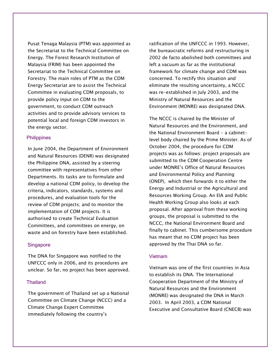Pusat Tenaga Malaysia (PTM) was appointed as the Secretariat to the Technical Committee on Energy. The Forest Research Institution of Malaysia (FRIM) has been appointed the Secretariat to the Technical Committee on Forestry. The main roles of PTM as the CDM Energy Secretariat are to assist the Technical Committee in evaluating CDM proposals, to provide policy input on CDM to the government, to conduct CDM outreach activities and to provide advisory services to potential local and foreign CDM investors in the energy sector.

#### **Philippines**

 In June 2004, the Department of Environment and Natural Resources (DENR) was designated the Philippine DNA, assisted by a steering committee with representatives from other Departments. Its tasks are to formulate and develop a national CDM policy, to develop the criteria, indicators, standards, systems and procedures, and evaluation tools for the review of CDM projects; and to monitor the implementation of CDM projects. It is authorised to create Technical Evaluation Committees, and committees on energy, on waste and on forestry have been established.

#### **Singapore**

 The DNA for Singapore was notified to the UNFCCC only in 2006, and its procedures are unclear. So far, no project has been approved.

#### **Thailand**

 The government of Thailand set up a National Committee on Climate Change (NCCC) and a Climate Change Expert Committee immediately following the country's

ratification of the UNFCCC in 1993. However, the bureaucratic reforms and restructuring in 2002 de facto abolished both committees and left a vacuum as far as the institutional framework for climate change and CDM was concerned. To rectify this situation and eliminate the resulting uncertainty, a NCCC was re-established in July 2003, and the Ministry of Natural Resources and the Environment (MONRE) was designated DNA.

 The NCCC is chaired by the Minister of Natural Resources and the Environment, and the National Environment Board - a cabinetlevel body chaired by the Prime Minister. As of October 2004, the procedure for CDM projects was as follows: project proposals are submitted to the CDM Cooperation Centre under MONRE's Office of Natural Resources and Environmental Policy and Planning (ONEP), which then forwards it to either the Energy and Industrial or the Agricultural and Resources Working Group. An EIA and Public Health Working Group also looks at each proposal. After approval from these working groups, the proposal is submitted to the NCCC, the National Environment Board and finally to cabinet. This cumbersome procedure has meant that no CDM project has been approved by the Thai DNA so far.

#### Vietnam

 Vietnam was one of the first countries in Asia to establish its DNA. The International Cooperation Department of the Ministry of Natural Resources and the Environment (MONRE) was designated the DNA in March 2003. In April 2003, a CDM National Executive and Consultative Board (CNECB) was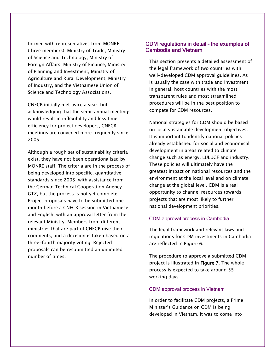formed with representatives from MONRE (three members), Ministry of Trade, Ministry of Science and Technology, Ministry of Foreign Affairs, Ministry of Finance, Ministry of Planning and Investment, Ministry of Agriculture and Rural Development, Ministry of Industry, and the Vietnamese Union of Science and Technology Associations.

 CNECB initially met twice a year, but acknowledging that the semi-annual meetings would result in inflexibility and less time efficiency for project developers, CNECB meetings are convened more frequently since 2005.

 Although a rough set of sustainability criteria exist, they have not been operationalised by MONRE staff. The criteria are in the process of being developed into specific, quantitative standards since 2005, with assistance from the German Technical Cooperation Agency GTZ, but the process is not yet complete. Project proposals have to be submitted one month before a CNECB session in Vietnamese and English, with an approval letter from the relevant Ministry. Members from different ministries that are part of CNECB give their comments, and a decision is taken based on a three-fourth majority voting. Rejected proposals can be resubmitted an unlimited number of times.

### CDM regulations in detail – the examples of Cambodia and Vietnam

 This section presents a detailed assessment of the legal framework of two countries with well-developed CDM approval guidelines. As is usually the case with trade and investment in general, host countries with the most transparent rules and most streamlined procedures will be in the best position to compete for CDM resources.

 National strategies for CDM should be based on local sustainable development objectives. It is important to identify national policies already established for social and economical development in areas related to climate change such as energy, LULUCF and industry. These policies will ultimately have the greatest impact on national resources and the environment at the local level and on climate change at the global level. CDM is a real opportunity to channel resources towards projects that are most likely to further national development priorities.

#### CDM approval process in Cambodia

 The legal framework and relevant laws and regulations for CDM investments in Cambodia are reflected in Figure 6.

 The procedure to approve a submitted CDM project is illustrated in Figure 7. The whole process is expected to take around 55 working days.

#### CDM approval process in Vietnam

 In order to facilitate CDM projects, a Prime Minister's Guidance on CDM is being developed in Vietnam. It was to come into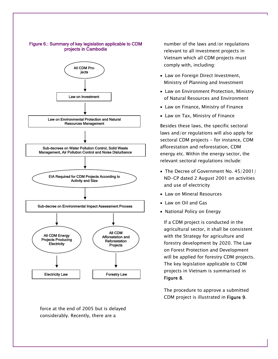

force at the end of 2005 but is delayed considerably. Recently, there are a

number of the laws and/or regulations relevant to all investment projects in Vietnam which all CDM projects must comply with, including:

- Law on Foreign Direct Investment, Ministry of Planning and Investment
- Law on Environment Protection, Ministry of Natural Resources and Environment
- Law on Finance, Ministry of Finance
- Law on Tax, Ministry of Finance

Besides these laws, the specific sectoral laws and/or regulations will also apply for sectoral CDM projects - for instance, CDM afforestation and reforestation, CDM energy etc. Within the energy sector, the relevant sectoral regulations include:

- The Decree of Government No. 45/2001/ ND-CP dated 2 August 2001 on activities and use of electricity
- Law on Mineral Resources
- Law on Oil and Gas
- National Policy on Energy

 If a CDM project is conducted in the agricultural sector, it shall be consistent with the Strategy for agriculture and forestry development by 2020. The Law on Forest Protection and Development will be applied for forestry CDM projects. The key legislation applicable to CDM projects in Vietnam is summarised in Figure 8.

 The procedure to approve a submitted CDM project is illustrated in Figure 9.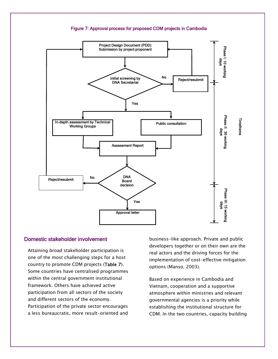

# Domestic stakeholder involvement

 Attaining broad stakeholder participation is one of the most challenging steps for a host country to promote CDM projects (Table 7). Some countries have centralised programmes within the central government institutional framework. Others have achieved active participation from all sectors of the society and different sectors of the economy. Participation of the private sector encourages a less bureaucratic, more result-oriented and

business-like approach. Private and public developers together or on their own are the real actors and the driving forces for the implementation of cost-effective mitigation options (Manso, 2003).

 Based on experience in Cambodia and Vietnam, cooperation and a supportive atmosphere within ministries and relevant governmental agencies is a priority while establishing the institutional structure for CDM. In the two countries, capacity building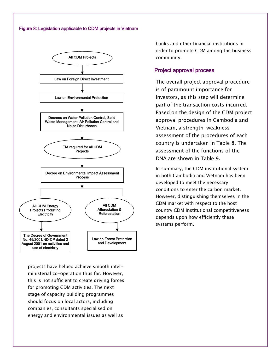#### Figure 8: Legislation applicable to CDM projects in Vietnam



projects have helped achieve smooth interministerial co-operation thus far. However, this is not sufficient to create driving forces for promoting CDM activities. The next stage of capacity building programmes should focus on local actors, including companies, consultants specialised on energy and environmental issues as well as

banks and other financial institutions in order to promote CDM among the business community.

# Project approval process

 The overall project approval procedure is of paramount importance for investors, as this step will determine part of the transaction costs incurred. Based on the design of the CDM project approval procedures in Cambodia and Vietnam, a strength-weakness assessment of the procedures of each country is undertaken in Table 8. The assessment of the functions of the DNA are shown in Table 9.

 In summary, the CDM institutional system in both Cambodia and Vietnam has been developed to meet the necessary conditions to enter the carbon market. However, distinguishing themselves in the CDM market with respect to the host country CDM institutional competitiveness depends upon how efficiently these systems perform.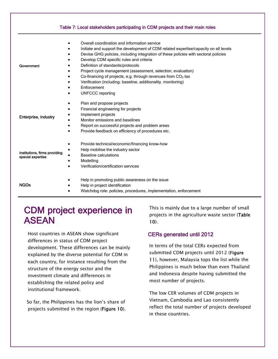|                                                    | Table 7: Local stakeholders participating in CDM projects and their main roles                                                                                                                                                                                                                                                                                                                                                                                                                                                                                        |
|----------------------------------------------------|-----------------------------------------------------------------------------------------------------------------------------------------------------------------------------------------------------------------------------------------------------------------------------------------------------------------------------------------------------------------------------------------------------------------------------------------------------------------------------------------------------------------------------------------------------------------------|
| Government                                         | Overall coordination and information service<br>$\bullet$<br>Initiate and support the development of CDM related expertise/capacity on all levels<br>Devise GHG policies, including integration of these policies with sectoral policies<br>Develop CDM specific rules and criteria<br>Definition of standards/protocols<br>Project cycle management (assessment, selection, evaluation)<br>Co-financing of projects, e.g. through revenues from $CO2$ tax<br>Verification (including: baseline, additionality. monitoring)<br>Enforcement<br><b>UNFCCC</b> reporting |
| Enterprise, industry                               | Plan and propose projects<br>Financial engineering for projects<br>٠<br>Implement projects<br>Monitor emissions and baselines<br>Report on successful projects and problem areas<br>Provide feedback on efficiency of procedures etc.                                                                                                                                                                                                                                                                                                                                 |
| Institutions, firms providing<br>special expertise | Provide technical/economic/financing know-how<br>$\bullet$<br>Help mobilise the industry sector<br><b>Baseline calculations</b><br>Modelling<br>$\bullet$<br>Verification/certification services<br>$\bullet$                                                                                                                                                                                                                                                                                                                                                         |
| <b>NGOs</b>                                        | Help in promoting public awareness on the issue<br>Help in project identification<br>Watchdog role: policies, procedures, implementation, enforcement                                                                                                                                                                                                                                                                                                                                                                                                                 |

# CDM project experience in ASEAN

 Host countries in ASEAN show significant differences in status of CDM project development. These differences can be mainly explained by the diverse potential for CDM in each country, for instance resulting from the structure of the energy sector and the investment climate and differences in establishing the related policy and institutional framework.

So far, the Philippines has the lion's share of projects submitted in the region (Figure 10).

This is mainly due to a large number of small projects in the agriculture waste sector (Table 10).

# CERs generated until 2012

 In terms of the total CERs expected from submitted CDM projects until 2012 (Figure 11), however, Malaysia tops the list while the Philippines is much below than even Thailand and Indonesia despite having submitted the most number of projects.

 The low CER volumes of CDM projects in Vietnam, Cambodia and Lao consistently reflect the total number of projects developed in these countries.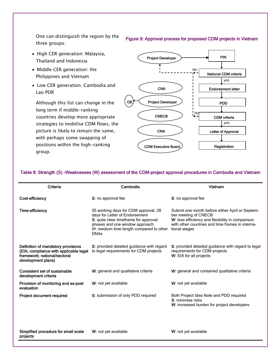One can distinguish the region by the three groups:

- High CER generation: Malaysia, Thailand and Indonesia
- Middle CER generation: the Philippines and Vietnam

projects

• Low CER generation: Cambodia and Lao PDR

 Although this list can change in the long term if middle-ranking countries develop more appropriate strategies to mobilise CDM flows, the picture is likely to remain the same, with perhaps some swapping of positions within the high-ranking group.



**Registration** 

#### Table 8: Strength (S) -Weaknesses (W) assessment of the CDM-project approval procedures in Cambodia and Vietnam

CDM Executive Board

| Criteria                                                                                                                           | Cambodia                                                                                                                                                                                                    | Vietnam                                                                                                                                                                                          |
|------------------------------------------------------------------------------------------------------------------------------------|-------------------------------------------------------------------------------------------------------------------------------------------------------------------------------------------------------------|--------------------------------------------------------------------------------------------------------------------------------------------------------------------------------------------------|
| Cost-efficiency                                                                                                                    | S: no approval fee                                                                                                                                                                                          | S: no approval fee                                                                                                                                                                               |
| <b>Time-efficiency</b>                                                                                                             | 55 working days for CDM approval, 28<br>days for Letter of Endorsement<br>S: quite clear timeframe for approval<br>phases and one window approach<br>W: medium time length compared to other<br><b>DNAs</b> | Submit one month before either April or Septem-<br>ber meeting of CNECB<br>W: less efficiency and flexibility in comparison<br>with other countries and time frames in interna-<br>tional stages |
| Definition of mandatory provisions<br>(EIA; compliance with applicable legal<br>framework; national/sectoral<br>development plans) | S: provided detailed guidance with regard<br>to legal requirements for CDM projects                                                                                                                         | S: provided detailed guidance with regard to legal<br>requirements for CDM projects<br>W: EIA for all projects                                                                                   |
| <b>Consistent set of sustainable</b><br>development criteria                                                                       | W: general and qualitative criteria                                                                                                                                                                         | W: general and contained qualitative criteria                                                                                                                                                    |
| Provision of monitoring and ex-post<br>evaluation                                                                                  | W: not yet available                                                                                                                                                                                        | W: not yet available                                                                                                                                                                             |
| Project document required                                                                                                          | S: submission of only PDD required                                                                                                                                                                          | Both Project Idea Note and PDD required<br>S: minimise risks<br>W: increased burden for project developers                                                                                       |
| Simplified procedure for small scale                                                                                               | W: not yet available                                                                                                                                                                                        | W: not yet available                                                                                                                                                                             |

Figure 9: Approval process for proposed CDM projects in Vietnam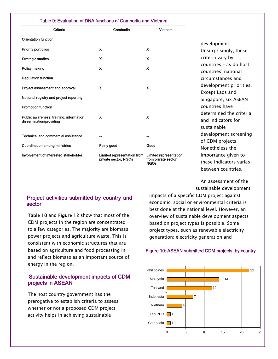#### Table 9: Evaluation of DNA functions of Cambodia and Vietnam

| Criteria                                                           | Cambodia                    | Vietnam                             |                                               |
|--------------------------------------------------------------------|-----------------------------|-------------------------------------|-----------------------------------------------|
| <b>Orientation function</b>                                        |                             |                                     | development.                                  |
| <b>Priority portfolios</b>                                         | X                           | X                                   | Unsurprisingly, these                         |
| <b>Strategic studies</b>                                           | X                           | X                                   | criteria vary by                              |
| Policy making                                                      | X                           | $\boldsymbol{\mathsf{x}}$           | countries – as do host<br>countries' national |
| <b>Regulation function</b>                                         |                             |                                     | circumstances and                             |
| Project assessment and approval                                    | $\boldsymbol{\mathsf{x}}$   | X                                   | development priorities.<br>Except Laos and    |
| National registry and project reporting                            |                             |                                     | Singapore, six ASEAN                          |
| <b>Promotion function</b>                                          |                             |                                     | countries have<br>determined the criteria     |
| Public awareness: training, information<br>dissemination/providing | X                           | X                                   | and indicators for<br>sustainable             |
| <b>Technical and commercial assistance</b>                         |                             |                                     | development screening<br>of CDM projects.     |
| <b>Coordination among ministries</b>                               | Fairly good                 | Good                                | Nonetheless the                               |
| Involvement of interested stakeholder                              | Limited representation from | Limited representation              | importance given to                           |
|                                                                    | private sector, NGOs        | from private sector,<br><b>NGOs</b> | these indicators varies                       |

An assessment of the sustainable development

between countries.

# Project activities submitted by country and sector

Table 10 and Figure 12 show that most of the CDM projects in the region are concentrated to a few categories. The majority are biomass power projects and agriculture waste. This is consistent with economic structures that are based on agriculture and food processing in and reflect biomass as an important source of energy in the region.

# Sustainable development impacts of CDM projects in ASEAN

 The host country government has the prerogative to establish criteria to assess whether or not a proposed CDM project activity helps in achieving sustainable

impacts of a specific CDM project against economic, social or environmental criteria is best done at the national level. However, an overview of sustainable development aspects based on project types is possible. Some project types, such as renewable electricity generation; electricity generation and

#### Figure 10: ASEAN submitted CDM projects, by country

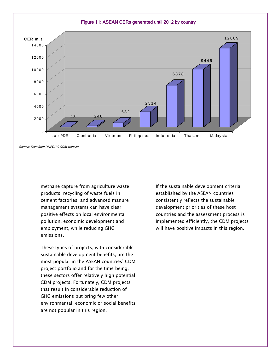

Source: Data from UNFCCC CDM website

methane capture from agriculture waste products; recycling of waste fuels in cement factories; and advanced manure management systems can have clear positive effects on local environmental pollution, economic development and employment, while reducing GHG emissions.

 These types of projects, with considerable sustainable development benefits, are the most popular in the ASEAN countries' CDM project portfolio and for the time being, these sectors offer relatively high potential CDM projects. Fortunately, CDM projects that result in considerable reduction of GHG emissions but bring few other environmental, economic or social benefits are not popular in this region.

 If the sustainable development criteria established by the ASEAN countries consistently reflects the sustainable development priorities of these host countries and the assessment process is implemented efficiently, the CDM projects will have positive impacts in this region.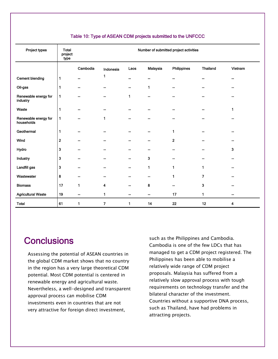| Project types                      | <b>Total</b><br>project<br>type |          | Number of submitted project activities |      |              |                |                 |         |
|------------------------------------|---------------------------------|----------|----------------------------------------|------|--------------|----------------|-----------------|---------|
|                                    |                                 | Cambodia | Indonesia                              | Laos | Malaysia     | Philippines    | <b>Thailand</b> | Vietnam |
| <b>Cement blending</b>             | $\mathbf{1}$                    | --       | 1                                      |      |              |                | --              |         |
| Oil-gas                            | 1                               | --       |                                        |      | $\mathbf{1}$ |                | --              |         |
| Renewable energy for<br>industry   | $\mathbf{1}$                    | --       |                                        | 1    |              |                | ۰.              |         |
| Waste                              | 1                               | --       |                                        |      |              |                |                 |         |
| Renewable energy for<br>households | 1                               | --       | $\mathbf{1}$                           |      |              |                |                 |         |
| Geothermal                         | 1                               | --       |                                        |      |              | 1              |                 |         |
| Wind                               | $\overline{\mathbf{2}}$         | --       |                                        |      |              | $\overline{2}$ |                 |         |
| Hydro                              | 3                               | --       |                                        |      |              |                |                 | 3       |
| Industry                           | 3                               | --       |                                        |      | 3            |                |                 |         |
| Landfill gas                       | $\mathbf{3}$                    |          |                                        |      | 1            | 1              | 1               |         |
| Wastewater                         | 8                               |          |                                        |      |              | 1              | 7               |         |
| <b>Biomass</b>                     | 17                              | 1        | 4                                      |      | 8            |                | 3               |         |
| <b>Agricultural Waste</b>          | 19                              | --       | 1                                      |      |              | 17             | 1               |         |
| <b>Total</b>                       | 61                              | 1        | $\overline{\mathbf{z}}$                | 1    | 14           | 22             | 12              | 4       |

# Table 10: Type of ASEAN CDM projects submitted to the UNFCCC

# **Conclusions**

 Assessing the potential of ASEAN countries in the global CDM market shows that no country in the region has a very large theoretical CDM potential. Most CDM potential is centered in renewable energy and agricultural waste. Nevertheless, a well-designed and transparent approval process can mobilise CDM investments even in countries that are not very attractive for foreign direct investment,

such as the Philippines and Cambodia. Cambodia is one of the few LDCs that has managed to get a CDM project registered. The Philippines has been able to mobilise a relatively wide range of CDM project proposals. Malaysia has suffered from a relatively slow approval process with tough requirements on technology transfer and the bilateral character of the investment. Countries without a supportive DNA process, such as Thailand, have had problems in attracting projects.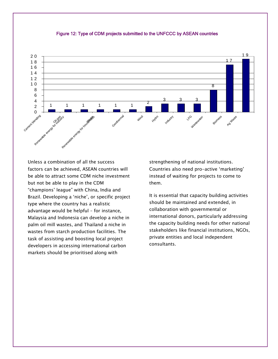

#### Figure 12: Type of CDM projects submitted to the UNFCCC by ASEAN countries

 Unless a combination of all the success factors can be achieved, ASEAN countries will be able to attract some CDM niche investment but not be able to play in the CDM "champions' league" with China, India and Brazil. Developing a 'niche', or specific project type where the country has a realistic advantage would be helpful – for instance, Malaysia and Indonesia can develop a niche in palm oil mill wastes, and Thailand a niche in wastes from starch production facilities. The task of assisting and boosting local project developers in accessing international carbon markets should be prioritised along with

 strengthening of national institutions. Countries also need pro-active 'marketing' instead of waiting for projects to come to them.

 It is essential that capacity building activities should be maintained and extended, in collaboration with governmental or international donors, particularly addressing the capacity building needs for other national stakeholders like financial institutions, NGOs, private entities and local independent consultants.